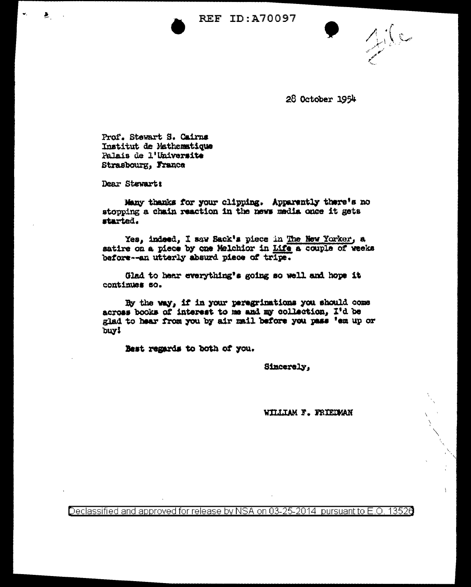**REF ID: A70097** 

 $216$ 

28 October 1954

Prof. Stewart S. Cairns Institut de Mathematique Palais de l'Universite Strasbourg, France

Dear Stewart!

Ł.

Many thanks for your clipping. Apparently there's no stopping a chain reaction in the news media once it gets started.

Yes, indeed, I saw Sack's piece in The New Yorker, a satire on a piece by one Melchior in Life a couple of weeks before--an utterly absurd piece of tripe.

Glad to hear everything's going so well and hope it continues so.

By the way, if in your persgrimations you should come across books of interest to me and my collection, I'd be glad to hear from you by air mail before you pass 'em up or buy!

Best regards to both of you.

Sincerely,

WILLIAM F. FRIEDMAN

Declassified and approved for release by NSA on 03-25-2014 pursuant to E.O. 13526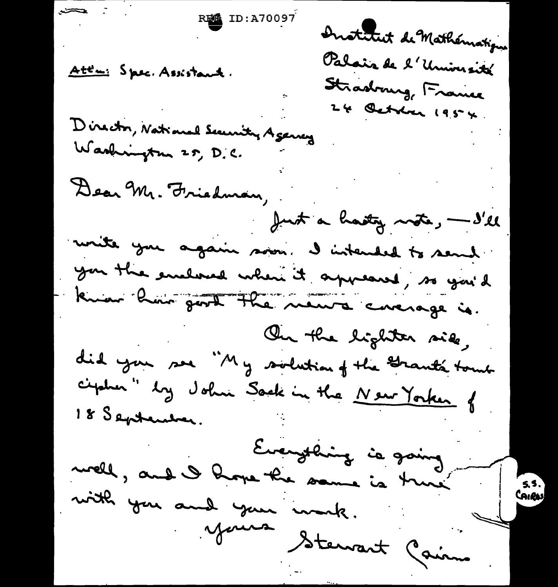$\sum$ Institut de Mathématique Palais de l'Université Att'n: Spec. Assistant. Stradrung, France 24 October 1954 Director, National Security Agency Washington 25, D.C. Dear Mr. Friedman, Just a hasty note, - I'll write you again soon. I intended to send you the enclosed when it appeared, so you'd know him good the news coverage is. On the lighter side, did you see "My socketion of the Grant's touch ciptur" by John Sack in the New Yorker of 18 September. Everything is going well, and I hope the same is true mith you and your monk. 5.5. CAIRAS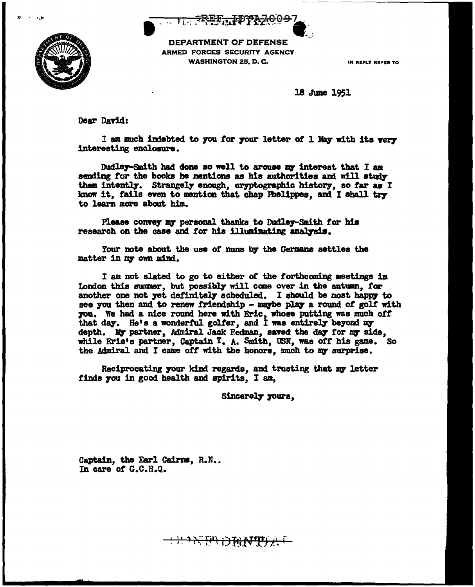$\begin{array}{c} \begin{array}{c} \begin{array}{c} \text{ } \end{array} \end{array} \end{array}$ 



DEPARTMENT OF DEFENSE ARMED FORCES SECURITY AGENCY WASHINGTON 25, D. C. **IN REPLY REPLY REPLY** 

18 June 1951

Dear David:

I am much indebted to you for your letter of 1 May with its very interesting enclosare.

Dudley-Smith had done so well to arouse my interest that I am sending for the books he mentions as his authorities and will study them intently. Strangely enough, cryptographic history, so far as I know it, fails even to mention that chap Fhelippes, and I shall try to learn more about him.

Please convey my personal thanks to Dudley-Smith for his research on the case and for his illuminating analysis.

Your note about the use of nuns by the Germans settles the matter in my own mind.

<sup>I</sup>am not slated to go to either of the forthcoming meetings in London this summer, but possibly will come over in the autumn, for another one not yet definitely scheduled. I should be most happy to see you then and to renew friendship - maybe play a round of golf with 7011. We had a nice round here with Eric, whose putting was much *ott*  that day. He's a wonderful golfer, and I was entirely beyond my depth. My partner, Admiral Jack Redman, saved the day for my side, while Eric's partner, Captain T. A. Smith, USN, was *ott* his game. So the Admiral and I came off with the honors, much to my surprise.

Reciprocating your kind regards, and trusting that my letter finds you in good health and spirits, I am,

\*\*\*\*\*\*\*\*\*\*\*\*\*\*\*\*

Sincerely yours,

Captain, the Earl Cairns, R.N.. In care *ot* G.C.H.Q.